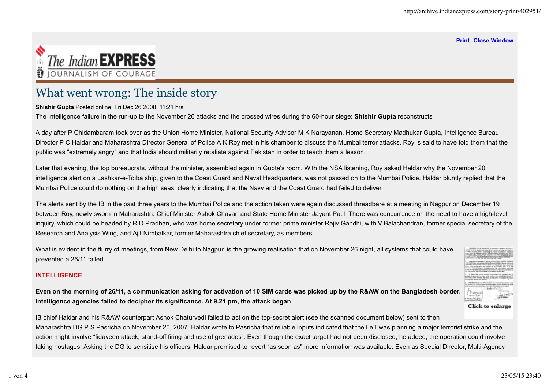#### **Print Close Window**



# What went wrong: The inside story

#### **Shishir Gupta** Posted online: Fri Dec 26 2008, 11:21 hrs

The Intelligence failure in the run-up to the November 26 attacks and the crossed wires during the 60-hour siege: **Shishir Gupta** reconstructs

A day after P Chidambaram took over as the Union Home Minister, National Security Advisor M K Narayanan, Home Secretary Madhukar Gupta, Intelligence Bureau Director P C Haldar and Maharashtra Director General of Police A K Roy met in his chamber to discuss the Mumbai terror attacks. Roy is said to have told them that the public was "extremely angry" and that India should militarily retaliate against Pakistan in order to teach them a lesson.

Later that evening, the top bureaucrats, without the minister, assembled again in Gupta's room. With the NSA listening, Roy asked Haldar why the November 20 intelligence alert on a Lashkar-e-Toiba ship, given to the Coast Guard and Naval Headquarters, was not passed on to the Mumbai Police. Haldar bluntly replied that the Mumbai Police could do nothing on the high seas, clearly indicating that the Navy and the Coast Guard had failed to deliver.

The alerts sent by the IB in the past three years to the Mumbai Police and the action taken were again discussed threadbare at a meeting in Nagpur on December 19 between Roy, newly sworn in Maharashtra Chief Minister Ashok Chavan and State Home Minister Jayant Patil. There was concurrence on the need to have a high-level inquiry, which could be headed by R D Pradhan, who was home secretary under former prime minister Rajiv Gandhi, with V Balachandran, former special secretary of the Research and Analysis Wing, and Ajit Nimbalkar, former Maharashtra chief secretary, as members.

What is evident in the flurry of meetings, from New Delhi to Nagpur, is the growing realisation that on November 26 night, all systems that could have prevented a 26/11 failed.

## **INTELLIGENCE**



**Even on the morning of 26/11, a communication asking for activation of 10 SIM cards was picked up by the R&AW on the Bangladesh border. Intelligence agencies failed to decipher its significance. At 9.21 pm, the attack began**

IB chief Haldar and his R&AW counterpart Ashok Chaturvedi failed to act on the top-secret alert (see the scanned document below) sent to then Maharashtra DG P S Pasricha on November 20, 2007. Haldar wrote to Pasricha that reliable inputs indicated that the LeT was planning a major terrorist strike and the action might involve "fidayeen attack, stand-off firing and use of grenades". Even though the exact target had not been disclosed, he added, the operation could involve taking hostages. Asking the DG to sensitise his officers, Haldar promised to revert "as soon as" more information was available. Even as Special Director, Multi-Agency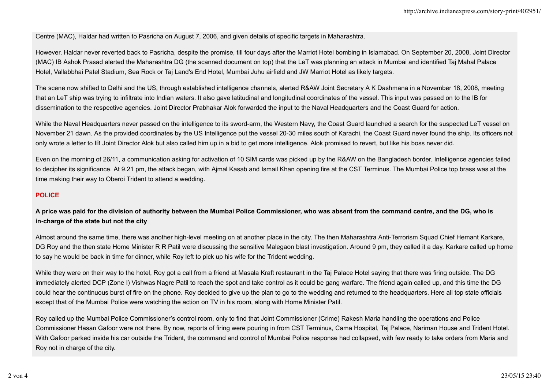Centre (MAC), Haldar had written to Pasricha on August 7, 2006, and given details of specific targets in Maharashtra.

However, Haldar never reverted back to Pasricha, despite the promise, till four days after the Marriot Hotel bombing in Islamabad. On September 20, 2008, Joint Director (MAC) IB Ashok Prasad alerted the Maharashtra DG (the scanned document on top) that the LeT was planning an attack in Mumbai and identified Taj Mahal Palace Hotel, Vallabbhai Patel Stadium, Sea Rock or Taj Land's End Hotel, Mumbai Juhu airfield and JW Marriot Hotel as likely targets.

The scene now shifted to Delhi and the US, through established intelligence channels, alerted R&AW Joint Secretary A K Dashmana in a November 18, 2008, meeting that an LeT ship was trying to infiltrate into Indian waters. It also gave latitudinal and longitudinal coordinates of the vessel. This input was passed on to the IB for dissemination to the respective agencies. Joint Director Prabhakar Alok forwarded the input to the Naval Headquarters and the Coast Guard for action.

While the Naval Headquarters never passed on the intelligence to its sword-arm, the Western Navy, the Coast Guard launched a search for the suspected LeT vessel on November 21 dawn. As the provided coordinates by the US Intelligence put the vessel 20-30 miles south of Karachi, the Coast Guard never found the ship. Its officers not only wrote a letter to IB Joint Director Alok but also called him up in a bid to get more intelligence. Alok promised to revert, but like his boss never did.

Even on the morning of 26/11, a communication asking for activation of 10 SIM cards was picked up by the R&AW on the Bangladesh border. Intelligence agencies failed to decipher its significance. At 9.21 pm, the attack began, with Ajmal Kasab and Ismail Khan opening fire at the CST Terminus. The Mumbai Police top brass was at the time making their way to Oberoi Trident to attend a wedding.

## **POLICE**

**A price was paid for the division of authority between the Mumbai Police Commissioner, who was absent from the command centre, and the DG, who is in-charge of the state but not the city**

Almost around the same time, there was another high-level meeting on at another place in the city. The then Maharashtra Anti-Terrorism Squad Chief Hemant Karkare, DG Roy and the then state Home Minister R R Patil were discussing the sensitive Malegaon blast investigation. Around 9 pm, they called it a day. Karkare called up home to say he would be back in time for dinner, while Roy left to pick up his wife for the Trident wedding.

While they were on their way to the hotel, Roy got a call from a friend at Masala Kraft restaurant in the Taj Palace Hotel saying that there was firing outside. The DG immediately alerted DCP (Zone I) Vishwas Nagre Patil to reach the spot and take control as it could be gang warfare. The friend again called up, and this time the DG could hear the continuous burst of fire on the phone. Roy decided to give up the plan to go to the wedding and returned to the headquarters. Here all top state officials except that of the Mumbai Police were watching the action on TV in his room, along with Home Minister Patil.

Roy called up the Mumbai Police Commissioner's control room, only to find that Joint Commissioner (Crime) Rakesh Maria handling the operations and Police Commissioner Hasan Gafoor were not there. By now, reports of firing were pouring in from CST Terminus, Cama Hospital, Taj Palace, Nariman House and Trident Hotel. With Gafoor parked inside his car outside the Trident, the command and control of Mumbai Police response had collapsed, with few ready to take orders from Maria and Roy not in charge of the city.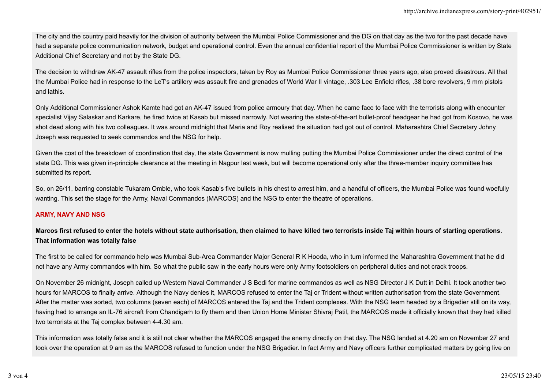The city and the country paid heavily for the division of authority between the Mumbai Police Commissioner and the DG on that day as the two for the past decade have had a separate police communication network, budget and operational control. Even the annual confidential report of the Mumbai Police Commissioner is written by State Additional Chief Secretary and not by the State DG.

The decision to withdraw AK-47 assault rifles from the police inspectors, taken by Roy as Mumbai Police Commissioner three years ago, also proved disastrous. All that the Mumbai Police had in response to the LeT's artillery was assault fire and grenades of World War II vintage, .303 Lee Enfield rifles, .38 bore revolvers, 9 mm pistols and lathis.

Only Additional Commissioner Ashok Kamte had got an AK-47 issued from police armoury that day. When he came face to face with the terrorists along with encounter specialist Vijay Salaskar and Karkare, he fired twice at Kasab but missed narrowly. Not wearing the state-of-the-art bullet-proof headgear he had got from Kosovo, he was shot dead along with his two colleagues. It was around midnight that Maria and Roy realised the situation had got out of control. Maharashtra Chief Secretary Johny Joseph was requested to seek commandos and the NSG for help.

Given the cost of the breakdown of coordination that day, the state Government is now mulling putting the Mumbai Police Commissioner under the direct control of the state DG. This was given in-principle clearance at the meeting in Nagpur last week, but will become operational only after the three-member inquiry committee has submitted its report.

So, on 26/11, barring constable Tukaram Omble, who took Kasab's five bullets in his chest to arrest him, and a handful of officers, the Mumbai Police was found woefully wanting. This set the stage for the Army, Naval Commandos (MARCOS) and the NSG to enter the theatre of operations.

## **ARMY, NAVY AND NSG**

**Marcos first refused to enter the hotels without state authorisation, then claimed to have killed two terrorists inside Taj within hours of starting operations. That information was totally false**

The first to be called for commando help was Mumbai Sub-Area Commander Major General R K Hooda, who in turn informed the Maharashtra Government that he did not have any Army commandos with him. So what the public saw in the early hours were only Army footsoldiers on peripheral duties and not crack troops.

On November 26 midnight, Joseph called up Western Naval Commander J S Bedi for marine commandos as well as NSG Director J K Dutt in Delhi. It took another two hours for MARCOS to finally arrive. Although the Navy denies it, MARCOS refused to enter the Taj or Trident without written authorisation from the state Government. After the matter was sorted, two columns (seven each) of MARCOS entered the Taj and the Trident complexes. With the NSG team headed by a Brigadier still on its way, having had to arrange an IL-76 aircraft from Chandigarh to fly them and then Union Home Minister Shivraj Patil, the MARCOS made it officially known that they had killed two terrorists at the Taj complex between 4-4.30 am.

This information was totally false and it is still not clear whether the MARCOS engaged the enemy directly on that day. The NSG landed at 4.20 am on November 27 and took over the operation at 9 am as the MARCOS refused to function under the NSG Brigadier. In fact Army and Navy officers further complicated matters by going live on